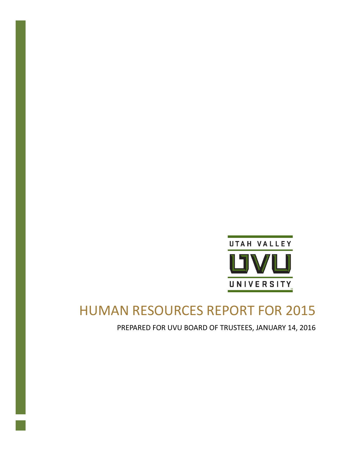

# HUMAN RESOURCES REPORT FOR 2015

PREPARED FOR UVU BOARD OF TRUSTEES, JANUARY 14, 2016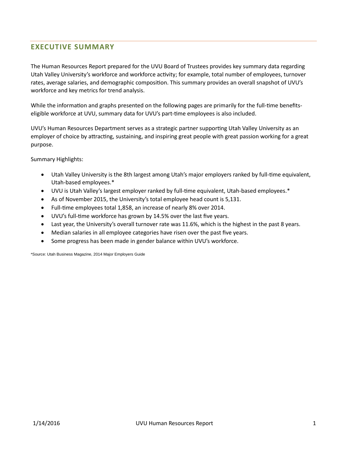# **EXECUTIVE SUMMARY**

The Human Resources Report prepared for the UVU Board of Trustees provides key summary data regarding Utah Valley University's workforce and workforce activity; for example, total number of employees, turnover rates, average salaries, and demographic composition. This summary provides an overall snapshot of UVU's workforce and key metrics for trend analysis.

While the information and graphs presented on the following pages are primarily for the full-time benefitseligible workforce at UVU, summary data for UVU's part-time employees is also included.

UVU's Human Resources Department serves as a strategic partner supporting Utah Valley University as an employer of choice by attracting, sustaining, and inspiring great people with great passion working for a great purpose.

Summary Highlights:

- Utah Valley University is the 8th largest among Utah's major employers ranked by full-time equivalent, Utah-based employees.\*
- UVU is Utah Valley's largest employer ranked by full-time equivalent, Utah-based employees.\*
- As of November 2015, the University's total employee head count is 5,131.
- Full-time employees total 1,858, an increase of nearly 8% over 2014.
- UVU's full-time workforce has grown by 14.5% over the last five years.
- Last year, the University's overall turnover rate was 11.6%, which is the highest in the past 8 years.
- Median salaries in all employee categories have risen over the past five years.
- Some progress has been made in gender balance within UVU's workforce.

\*Source: Utah Business Magazine, 2014 Major Employers Guide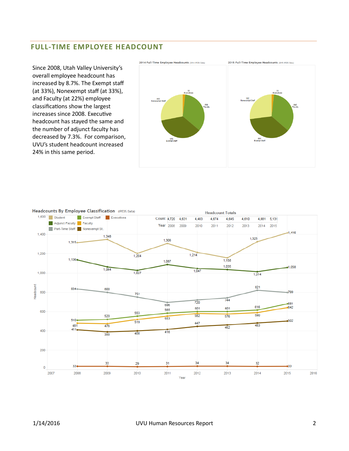# **FULL-TIME EMPLOYEE HEADCOUNT**

Since 2008, Utah Valley University's overall employee headcount has increased by 8.7%. The Exempt staff (at 33%), Nonexempt staff (at 33%), and Faculty (at 22%) employee classifications show the largest increases since 2008. Executive headcount has stayed the same and the number of adjunct faculty has decreased by 7.3%. For comparison, UVU's student headcount increased 24% in this same period.





#### Headcounts By Employee Classification (IPEDS Data)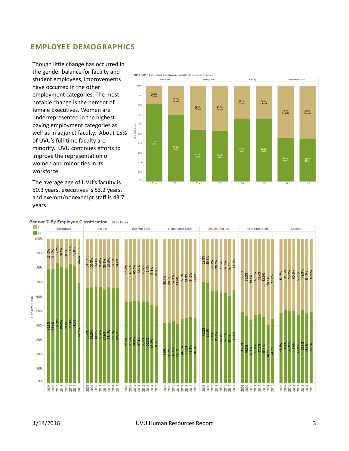# **EMPLOYEE DEMOGRAPHICS**

Though little change has occurred in the gender balance for faculty and student employees, improvements have occurred in the other employment categories. The most notable change is the percent of female Executives. Women are underrepresented in the highest paying employment categories as well as in adjunct faculty. About 15% of UVU's full-time faculty are minority. UVU continues efforts to improve the representation of women and minorities in its workforce.

The average age of UVU's faculty is 50.3 years, executives is 53.2 years, and exempt/nonexempt staff is 43.7 years.



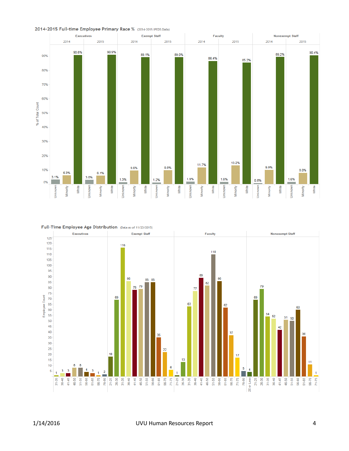





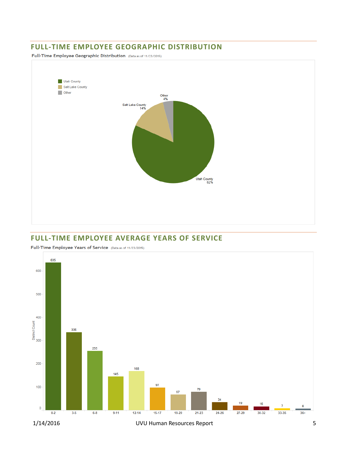### **FULL-TIME EMPLOYEE GEOGRAPHIC DISTRIBUTION**

Full-Time Employee Geographic Distribution (Data as of 11/23/2015)



## **FULL-TIME EMPLOYEE AVERAGE YEARS OF SERVICE**



Full-Time Employee Years of Service (Data as of 11/23/2015)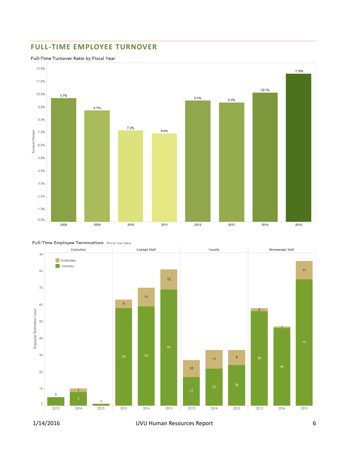# **FULL-TIME EMPLOYEE TURNOVER**

#### Full-Time Turnover Ratio by Fiscal Year







1/14/2016 UVU Human Resources Report 6